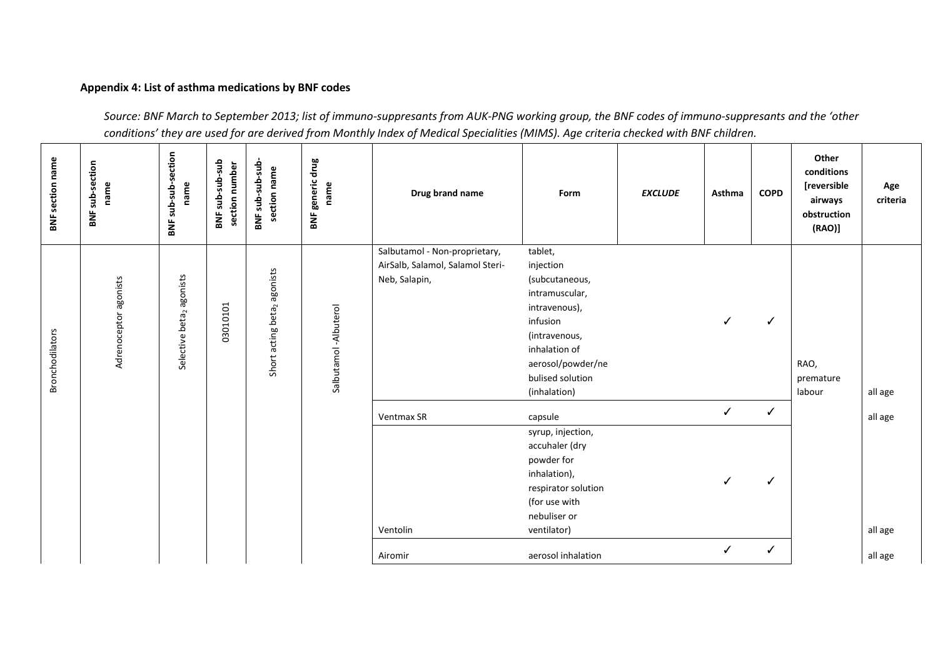## **Appendix 4: List of asthma medications by BNF codes**

*Source: BNF March to September 2013; list of immuno-suppresants from AUK-PNG working group, the BNF codes of immuno-suppresants and the 'other conditions' they are used for are derived from Monthly Index of Medical Specialities (MIMS). Age criteria checked with BNF children.*

| <b>BNF</b> section name | <b>BNF</b> sub-section<br>name | BNF sub-sub-section<br>name          | dus-aus-aus<br>section number<br><b>BNF</b> | BNF sub-sub-sub<br>section name               | drug<br>generic<br>name<br>BNF | Drug brand name                                                                    | Form                                                                                                                                                                             | <b>EXCLUDE</b> | Asthma                       | <b>COPD</b> | Other<br>conditions<br>[reversible<br>airways<br>obstruction<br>(RAO) | Age<br>criteria    |
|-------------------------|--------------------------------|--------------------------------------|---------------------------------------------|-----------------------------------------------|--------------------------------|------------------------------------------------------------------------------------|----------------------------------------------------------------------------------------------------------------------------------------------------------------------------------|----------------|------------------------------|-------------|-----------------------------------------------------------------------|--------------------|
| <b>Bronchodilators</b>  | Adrenoceptor agonists          | Selective beta <sub>2</sub> agonists | 03010101                                    | agonists<br>acting beta <sub>2</sub><br>Short | Salbutamol -Albuterol          | Salbutamol - Non-proprietary,<br>AirSalb, Salamol, Salamol Steri-<br>Neb, Salapin, | tablet,<br>injection<br>(subcutaneous,<br>intramuscular,<br>intravenous),<br>infusion<br>(intravenous,<br>inhalation of<br>aerosol/powder/ne<br>bulised solution<br>(inhalation) |                | $\checkmark$                 | ✓           | RAO,<br>premature<br>labour                                           | all age            |
|                         |                                |                                      |                                             |                                               |                                | <b>Ventmax SR</b><br>Ventolin                                                      | capsule<br>syrup, injection,<br>accuhaler (dry<br>powder for<br>inhalation),<br>respirator solution<br>(for use with<br>nebuliser or<br>ventilator)                              |                | $\checkmark$<br>$\checkmark$ | ✓<br>√      |                                                                       | all age<br>all age |
|                         |                                |                                      |                                             |                                               |                                | Airomir                                                                            | aerosol inhalation                                                                                                                                                               |                | $\checkmark$                 | ✓           |                                                                       | all age            |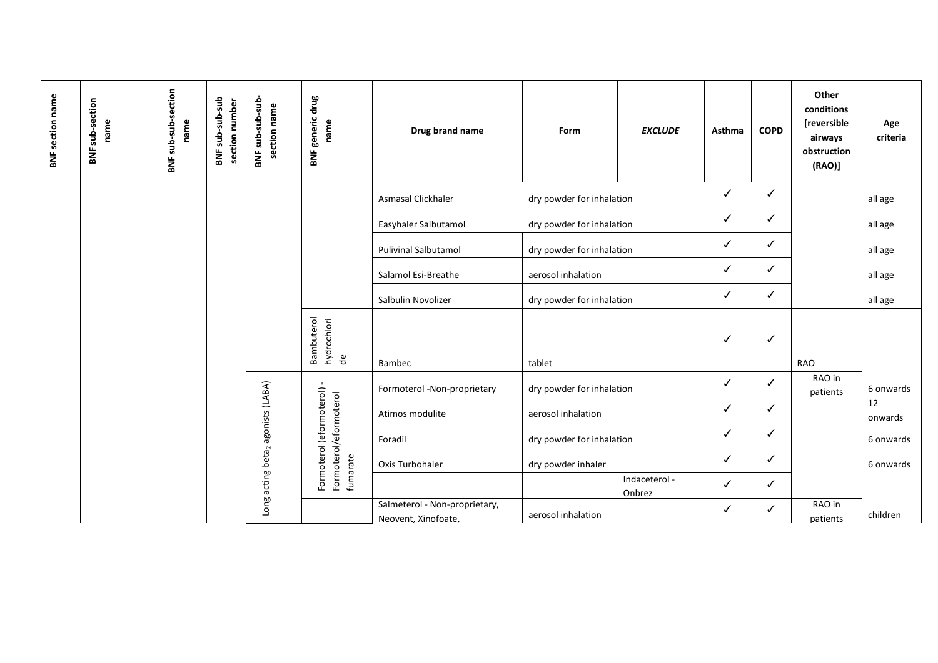| <b>BNF</b> section name | BNF sub-section<br>name | sub-sub-section<br>name<br>BNF | BNF sub-sub-sub<br>section number | BNF sub-sub-sub<br>section name | drug<br>generic<br>name<br>BNF                                 | Drug brand name                                      | Form                      | <b>EXCLUDE</b>          | Asthma       | <b>COPD</b>  | Other<br>conditions<br>[reversible<br>airways<br>obstruction<br>(RAO)] | Age<br>criteria |
|-------------------------|-------------------------|--------------------------------|-----------------------------------|---------------------------------|----------------------------------------------------------------|------------------------------------------------------|---------------------------|-------------------------|--------------|--------------|------------------------------------------------------------------------|-----------------|
|                         |                         |                                |                                   |                                 |                                                                | Asmasal Clickhaler                                   | dry powder for inhalation |                         | $\checkmark$ | $\checkmark$ |                                                                        | all age         |
|                         |                         |                                |                                   |                                 |                                                                | Easyhaler Salbutamol                                 | dry powder for inhalation |                         | ✓            | ✓            |                                                                        | all age         |
|                         |                         |                                |                                   |                                 |                                                                | <b>Pulivinal Salbutamol</b>                          | dry powder for inhalation |                         | ✓            | ✓            |                                                                        | all age         |
|                         |                         |                                |                                   |                                 |                                                                | Salamol Esi-Breathe                                  | aerosol inhalation        |                         | ✓            | ✓            |                                                                        | all age         |
|                         |                         |                                |                                   |                                 |                                                                | Salbulin Novolizer                                   | dry powder for inhalation |                         | ✓            | ✓            |                                                                        | all age         |
|                         |                         |                                |                                   |                                 | Bambuterol<br>hydrochlori<br>de                                | Bambec                                               | tablet                    |                         | ✓            | ✓            | <b>RAO</b>                                                             |                 |
|                         |                         |                                |                                   |                                 |                                                                | Formoterol -Non-proprietary                          | dry powder for inhalation |                         | ✓            | ✓            | RAO in<br>patients                                                     | 6 onwards       |
|                         |                         |                                |                                   | agonists (LABA)                 |                                                                | Atimos modulite                                      | aerosol inhalation        |                         | ✓            | ✓            |                                                                        | 12<br>onwards   |
|                         |                         |                                |                                   |                                 |                                                                | Foradil                                              | dry powder for inhalation |                         | ✓            | ✓            |                                                                        | 6 onwards       |
|                         |                         |                                |                                   | Long acting beta <sub>2</sub>   | Formoterol (eformoterol)<br>Formoterol/eformoterol<br>fumarate | Oxis Turbohaler                                      | dry powder inhaler        |                         | ✓            | ✓            |                                                                        | 6 onwards       |
|                         |                         |                                |                                   |                                 |                                                                |                                                      |                           | Indaceterol -<br>Onbrez | ✓            | ✓            |                                                                        |                 |
|                         |                         |                                |                                   |                                 |                                                                | Salmeterol - Non-proprietary,<br>Neovent, Xinofoate, | aerosol inhalation        |                         | ✓            | ✓            | RAO in<br>patients                                                     | children        |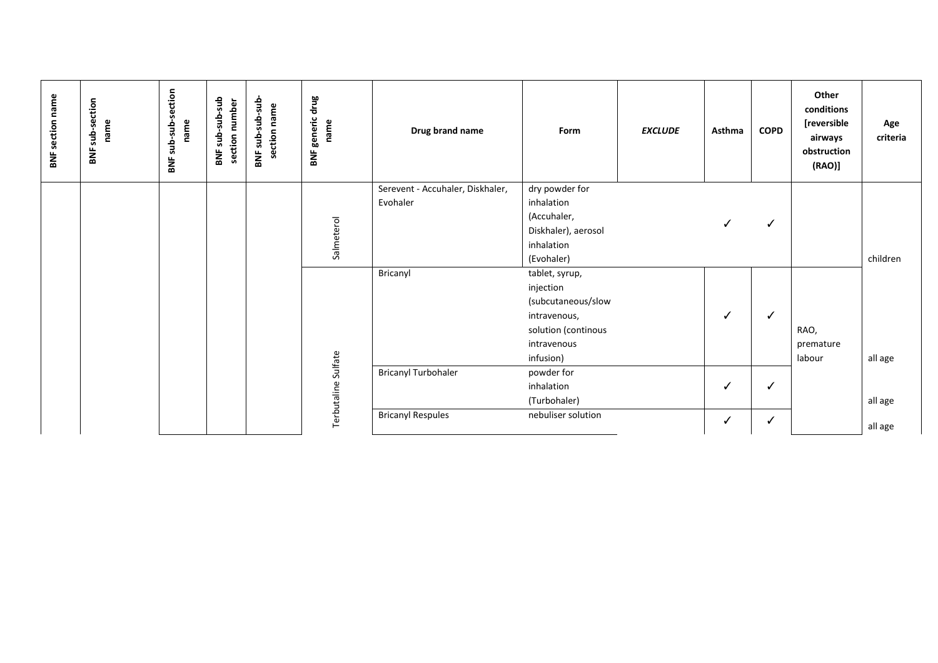| sub-sub-section<br><b>BNF section name</b><br>drug<br>dus-aus-aus<br>sub-section<br>BNF sub-sub-sub<br>section number<br>section name<br>generic<br>name<br>name<br>name<br>Drug brand name<br>Form<br><b>EXCLUDE</b><br>Asthma<br>BNF.<br>BNF.<br>BNF<br>BNF | <b>COPD</b>  | Other<br>conditions<br>[reversible<br>airways<br>obstruction<br>(RAO)] | Age<br>criteria |
|---------------------------------------------------------------------------------------------------------------------------------------------------------------------------------------------------------------------------------------------------------------|--------------|------------------------------------------------------------------------|-----------------|
| Serevent - Accuhaler, Diskhaler,<br>dry powder for                                                                                                                                                                                                            |              |                                                                        |                 |
| Evohaler<br>inhalation                                                                                                                                                                                                                                        |              |                                                                        |                 |
| (Accuhaler,<br>$\checkmark$                                                                                                                                                                                                                                   | ✓            |                                                                        |                 |
| Salmeterol<br>Diskhaler), aerosol<br>inhalation                                                                                                                                                                                                               |              |                                                                        |                 |
| (Evohaler)                                                                                                                                                                                                                                                    |              |                                                                        | children        |
| Bricanyl<br>tablet, syrup,                                                                                                                                                                                                                                    |              |                                                                        |                 |
| injection                                                                                                                                                                                                                                                     |              |                                                                        |                 |
| (subcutaneous/slow                                                                                                                                                                                                                                            |              |                                                                        |                 |
| ✓<br>intravenous,                                                                                                                                                                                                                                             | ✓            |                                                                        |                 |
| solution (continous                                                                                                                                                                                                                                           |              | RAO,                                                                   |                 |
| intravenous                                                                                                                                                                                                                                                   |              | premature                                                              |                 |
| infusion)                                                                                                                                                                                                                                                     |              | labour                                                                 | all age         |
| <b>Bricanyl Turbohaler</b><br>powder for                                                                                                                                                                                                                      |              |                                                                        |                 |
| inhalation<br>✓                                                                                                                                                                                                                                               | ✓            |                                                                        |                 |
| Terbutaline Sulfate<br>(Turbohaler)                                                                                                                                                                                                                           |              |                                                                        | all age         |
| <b>Bricanyl Respules</b><br>nebuliser solution<br>✓                                                                                                                                                                                                           | $\checkmark$ |                                                                        | all age         |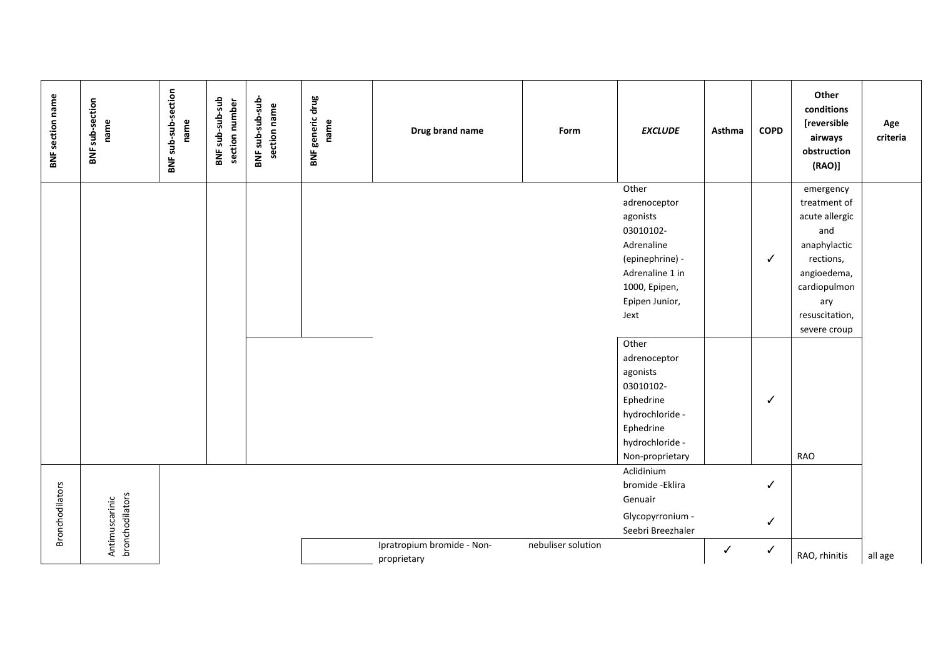| <b>BNF section name</b> | <b>BNF</b> sub-section<br>name    | BNF sub-sub-section<br>name | BNF sub-sub-sub<br>section number | BNF sub-sub-sub-<br>section name | <b>BNF generic drug</b><br>name | Drug brand name                           | Form               | <b>EXCLUDE</b>                                                                                                                                | Asthma | <b>COPD</b>            | Other<br>conditions<br>[reversible<br>airways<br>obstruction<br>(RAO)                                                                                   | Age<br>criteria |
|-------------------------|-----------------------------------|-----------------------------|-----------------------------------|----------------------------------|---------------------------------|-------------------------------------------|--------------------|-----------------------------------------------------------------------------------------------------------------------------------------------|--------|------------------------|---------------------------------------------------------------------------------------------------------------------------------------------------------|-----------------|
|                         |                                   |                             |                                   |                                  |                                 |                                           |                    | Other<br>adrenoceptor<br>agonists<br>03010102-<br>Adrenaline<br>(epinephrine) -<br>Adrenaline 1 in<br>1000, Epipen,<br>Epipen Junior,<br>Jext |        | ✓                      | emergency<br>treatment of<br>acute allergic<br>and<br>anaphylactic<br>rections,<br>angioedema,<br>cardiopulmon<br>ary<br>resuscitation,<br>severe croup |                 |
|                         |                                   |                             |                                   |                                  |                                 |                                           |                    | Other<br>adrenoceptor<br>agonists<br>03010102-<br>Ephedrine<br>hydrochloride -<br>Ephedrine<br>hydrochloride -<br>Non-proprietary             |        | ✓                      | RAO                                                                                                                                                     |                 |
| <b>Bronchodilators</b>  | Antimuscarinic<br>bronchodilators |                             |                                   |                                  |                                 | Ipratropium bromide - Non-<br>proprietary | nebuliser solution | Aclidinium<br>bromide - Eklira<br>Genuair<br>Glycopyrronium -<br>Seebri Breezhaler                                                            | ✓      | ✓<br>✓<br>$\checkmark$ | RAO, rhinitis                                                                                                                                           | all age         |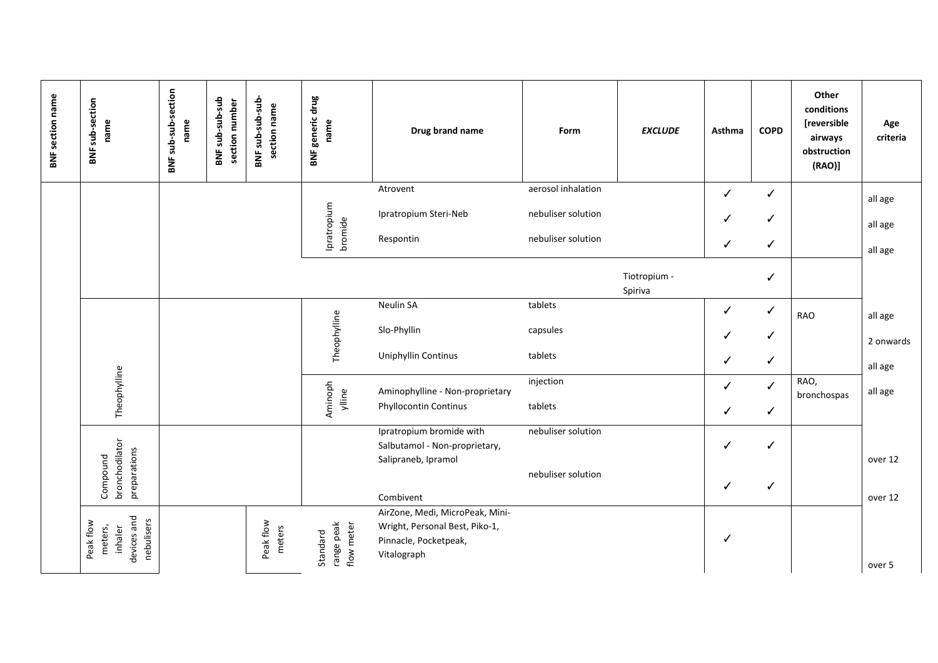| <b>BNF section name</b> | BNF sub-section<br>name                                      | BNF sub-sub-section<br>name | BNF sub-sub-sub<br>section number | BNF sub-sub-sub-<br>section name | <b>BNF generic drug</b><br>name      | Drug brand name                                                                                           | Form               | <b>EXCLUDE</b>          | Asthma | <b>COPD</b>  | Other<br>conditions<br>[reversible<br>airways<br>obstruction<br>(RAO) | Age<br>criteria      |
|-------------------------|--------------------------------------------------------------|-----------------------------|-----------------------------------|----------------------------------|--------------------------------------|-----------------------------------------------------------------------------------------------------------|--------------------|-------------------------|--------|--------------|-----------------------------------------------------------------------|----------------------|
|                         |                                                              |                             |                                   |                                  |                                      | Atrovent                                                                                                  | aerosol inhalation |                         | ✓      | $\checkmark$ |                                                                       |                      |
|                         |                                                              |                             |                                   |                                  | Ipratropium                          | Ipratropium Steri-Neb                                                                                     | nebuliser solution |                         | ✓      | ✓            |                                                                       | all age<br>all age   |
|                         |                                                              |                             |                                   |                                  | bromide                              | Respontin                                                                                                 | nebuliser solution |                         | ✓      | ✓            |                                                                       | all age              |
|                         |                                                              |                             |                                   |                                  |                                      |                                                                                                           |                    | Tiotropium -<br>Spiriva |        | ✓            |                                                                       |                      |
|                         |                                                              |                             |                                   |                                  |                                      | Neulin SA                                                                                                 | tablets            |                         | ✓      | ✓            | <b>RAO</b>                                                            | all age              |
|                         |                                                              |                             |                                   |                                  |                                      | Slo-Phyllin                                                                                               | capsules           |                         | ✓      | $\checkmark$ |                                                                       |                      |
|                         |                                                              |                             |                                   |                                  | Theophylline                         | <b>Uniphyllin Continus</b>                                                                                | tablets            |                         | ✓      | $\checkmark$ |                                                                       | 2 onwards<br>all age |
|                         | Theophylline                                                 |                             |                                   |                                  |                                      | Aminophylline - Non-proprietary                                                                           | injection          |                         | ✓      | $\checkmark$ | RAO,<br>bronchospas                                                   | all age              |
|                         |                                                              |                             |                                   |                                  | Aminoph<br>ylline                    | Phyllocontin Continus                                                                                     | tablets            |                         | ✓      | $\checkmark$ |                                                                       |                      |
|                         |                                                              |                             |                                   |                                  |                                      | Ipratropium bromide with<br>Salbutamol - Non-proprietary,<br>Salipraneb, Ipramol                          | nebuliser solution |                         | ℐ      | ✓            |                                                                       | over 12              |
|                         | bronchodilator<br>preparations<br>Compound                   |                             |                                   |                                  |                                      | Combivent                                                                                                 | nebuliser solution |                         | ✓      | ✓            |                                                                       | over 12              |
|                         | devices and<br>nebulisers<br>Peak flow<br>meters,<br>inhaler |                             |                                   | Peak flow<br>meters              | range peak<br>flow meter<br>Standard | AirZone, Medi, MicroPeak, Mini-<br>Wright, Personal Best, Piko-1,<br>Pinnacle, Pocketpeak,<br>Vitalograph |                    |                         | ✓      |              |                                                                       | over 5               |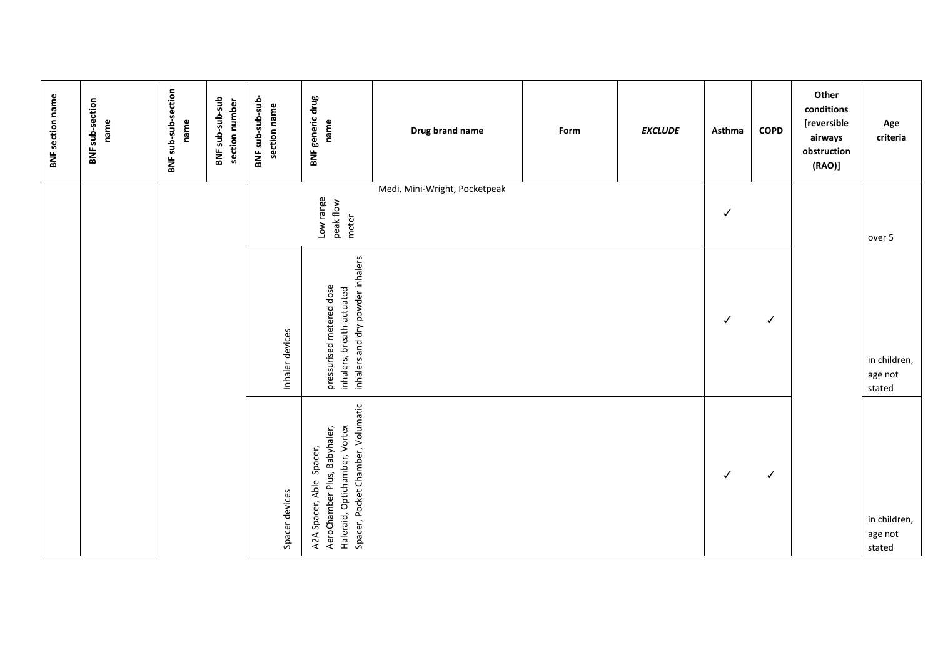| <b>BNF</b> section name | BNF sub-section<br>name | BNF sub-sub-section<br>name | BNF sub-sub-sub<br>section number | BNF sub-sub-sub-<br>section name | <b>BNF generic drug</b><br>name                                                                                                | Drug brand name<br>Medi, Mini-Wright, Pocketpeak | Form | <b>EXCLUDE</b> | Asthma       | <b>COPD</b>  | Other<br>conditions<br>[reversible<br>airways<br>obstruction<br>(RAO) | Age<br>criteria                   |
|-------------------------|-------------------------|-----------------------------|-----------------------------------|----------------------------------|--------------------------------------------------------------------------------------------------------------------------------|--------------------------------------------------|------|----------------|--------------|--------------|-----------------------------------------------------------------------|-----------------------------------|
|                         |                         |                             |                                   |                                  | Low range<br>peak flow<br>meter                                                                                                |                                                  |      |                | ✓            |              |                                                                       | over 5                            |
|                         |                         |                             |                                   | Inhaler devices                  | inhalers and dry powder inhalers<br>pressurised metered dose<br>inhalers, breath-actuated                                      |                                                  |      |                | $\checkmark$ | ✓            |                                                                       | in children,<br>age not<br>stated |
|                         |                         |                             |                                   | Spacer devices                   | Spacer, Pocket Chamber, Volumatic<br>Haleraid, Optichamber, Vortex<br>AeroChamber Plus, Babyhaler,<br>A2A Spacer, Able Spacer, |                                                  |      |                | $\checkmark$ | $\checkmark$ |                                                                       | in children,<br>age not<br>stated |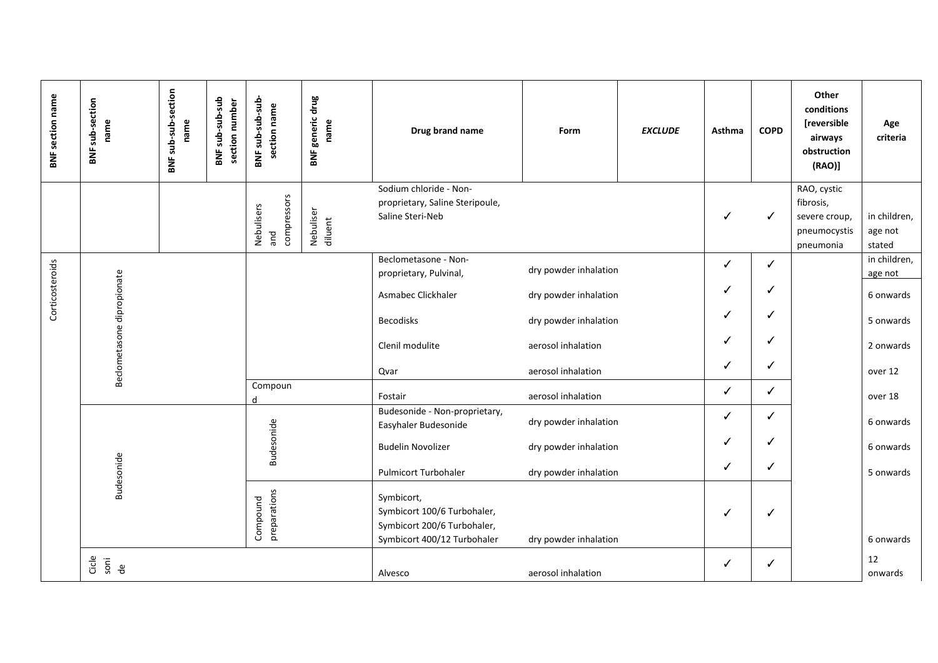| <b>BNF section name</b> | BNF sub-section<br>name    | BNF sub-sub-section<br>name | BNF sub-sub-sub<br>section number | BNF sub-sub-sub<br>section name  | <b>BNF generic drug</b><br>name | Drug brand name                                                                                         | Form                  | <b>EXCLUDE</b> | Asthma | <b>COPD</b>  | Other<br>conditions<br><b>[reversible</b><br>airways<br>obstruction<br>(RAO) | Age<br>criteria                   |
|-------------------------|----------------------------|-----------------------------|-----------------------------------|----------------------------------|---------------------------------|---------------------------------------------------------------------------------------------------------|-----------------------|----------------|--------|--------------|------------------------------------------------------------------------------|-----------------------------------|
|                         |                            |                             |                                   |                                  |                                 | Sodium chloride - Non-<br>proprietary, Saline Steripoule,                                               |                       |                |        |              | RAO, cystic<br>fibrosis,                                                     |                                   |
|                         |                            |                             |                                   | compressors<br>Nebulisers<br>and | Nebuliser<br>diluent            | Saline Steri-Neb                                                                                        |                       |                |        | ✓            | severe croup,<br>pneumocystis<br>pneumonia                                   | in children,<br>age not<br>stated |
|                         |                            |                             |                                   |                                  |                                 | Beclometasone - Non-<br>proprietary, Pulvinal,                                                          | dry powder inhalation |                | ✓      | ✓            |                                                                              | in children,<br>age not           |
| Corticosteroids         | Beclometasone dipropionate |                             |                                   |                                  |                                 | Asmabec Clickhaler                                                                                      | dry powder inhalation |                | J      |              |                                                                              | 6 onwards                         |
|                         |                            |                             |                                   |                                  |                                 | <b>Becodisks</b>                                                                                        | dry powder inhalation |                | ✓      | ✓            |                                                                              | 5 onwards                         |
|                         |                            |                             |                                   |                                  |                                 | Clenil modulite                                                                                         | aerosol inhalation    |                | ✓      |              |                                                                              | 2 onwards                         |
|                         |                            |                             |                                   |                                  |                                 | Qvar                                                                                                    | aerosol inhalation    |                | ✓      | ✓            |                                                                              | over 12                           |
|                         |                            |                             |                                   | Compoun                          |                                 | Fostair                                                                                                 | aerosol inhalation    |                | ✓      | ✓            |                                                                              | over 18                           |
|                         |                            |                             |                                   |                                  |                                 | Budesonide - Non-proprietary,<br>Easyhaler Budesonide                                                   | dry powder inhalation |                | ✓      | ✓            |                                                                              | 6 onwards                         |
|                         |                            |                             |                                   | Budesonide                       |                                 | <b>Budelin Novolizer</b>                                                                                | dry powder inhalation |                | J      |              |                                                                              | 6 onwards                         |
|                         | Budesonide                 |                             |                                   |                                  |                                 | <b>Pulmicort Turbohaler</b>                                                                             | dry powder inhalation |                | ✓      | ✓            |                                                                              | 5 onwards                         |
|                         |                            |                             |                                   | preparations<br>Compound         |                                 | Symbicort,<br>Symbicort 100/6 Turbohaler,<br>Symbicort 200/6 Turbohaler,<br>Symbicort 400/12 Turbohaler | dry powder inhalation |                | ✓      | ✔            |                                                                              | 6 onwards                         |
|                         | Cicle<br>sori<br>de        |                             |                                   |                                  |                                 | Alvesco                                                                                                 | aerosol inhalation    |                | ✓      | $\checkmark$ |                                                                              | 12<br>onwards                     |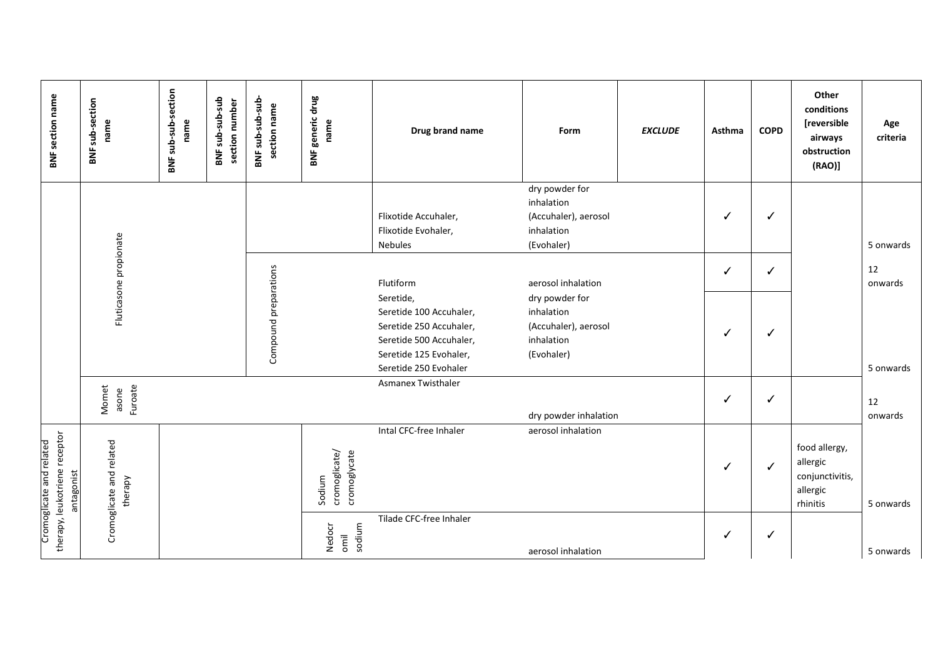| <b>BNF section name</b>                                                 | BNF sub-section<br>name             | sub-sub-section<br>name<br>BNF | BNF sub-sub-sub<br>section number | BNF sub-sub-sub<br>section name | BNF generic drug<br>name                | Drug brand name                                                                                                                               | Form                                                                             | <b>EXCLUDE</b> | Asthma | <b>COPD</b> | Other<br>conditions<br>[reversible<br>airways<br>obstruction<br>$(RAO)$ ] | Age<br>criteria |
|-------------------------------------------------------------------------|-------------------------------------|--------------------------------|-----------------------------------|---------------------------------|-----------------------------------------|-----------------------------------------------------------------------------------------------------------------------------------------------|----------------------------------------------------------------------------------|----------------|--------|-------------|---------------------------------------------------------------------------|-----------------|
|                                                                         |                                     |                                |                                   |                                 |                                         | Flixotide Accuhaler,<br>Flixotide Evohaler,<br><b>Nebules</b>                                                                                 | dry powder for<br>inhalation<br>(Accuhaler), aerosol<br>inhalation<br>(Evohaler) |                | ✓      | ✓           |                                                                           | 5 onwards       |
|                                                                         | Fluticasone propionate              |                                |                                   |                                 |                                         | Flutiform                                                                                                                                     | aerosol inhalation                                                               |                | ✓      | ✓           |                                                                           | 12<br>onwards   |
|                                                                         |                                     |                                |                                   | Compound preparations           |                                         | Seretide,<br>Seretide 100 Accuhaler,<br>Seretide 250 Accuhaler,<br>Seretide 500 Accuhaler,<br>Seretide 125 Evohaler,<br>Seretide 250 Evohaler | dry powder for<br>inhalation<br>(Accuhaler), aerosol<br>inhalation<br>(Evohaler) |                | ✓      | ✓           |                                                                           | 5 onwards       |
|                                                                         | Furoate<br>Momet<br>asone           |                                |                                   |                                 |                                         | Asmanex Twisthaler                                                                                                                            | dry powder inhalation                                                            |                | ✓      | ✓           |                                                                           | 12<br>onwards   |
| therapy, leukotriene receptor<br>Cromoglicate and related<br>antagonist | Cromoglicate and related<br>therapy |                                |                                   |                                 | cromoglicate/<br>cromoglycate<br>Sodium | Intal CFC-free Inhaler                                                                                                                        | aerosol inhalation                                                               |                | ✓      | ✓           | food allergy,<br>allergic<br>conjunctivitis,<br>allergic<br>rhinitis      | 5 onwards       |
|                                                                         |                                     |                                |                                   |                                 | sodium<br>Nedocr<br>omil                | Tilade CFC-free Inhaler                                                                                                                       | aerosol inhalation                                                               |                | ✓      | ✓           |                                                                           | 5 onwards       |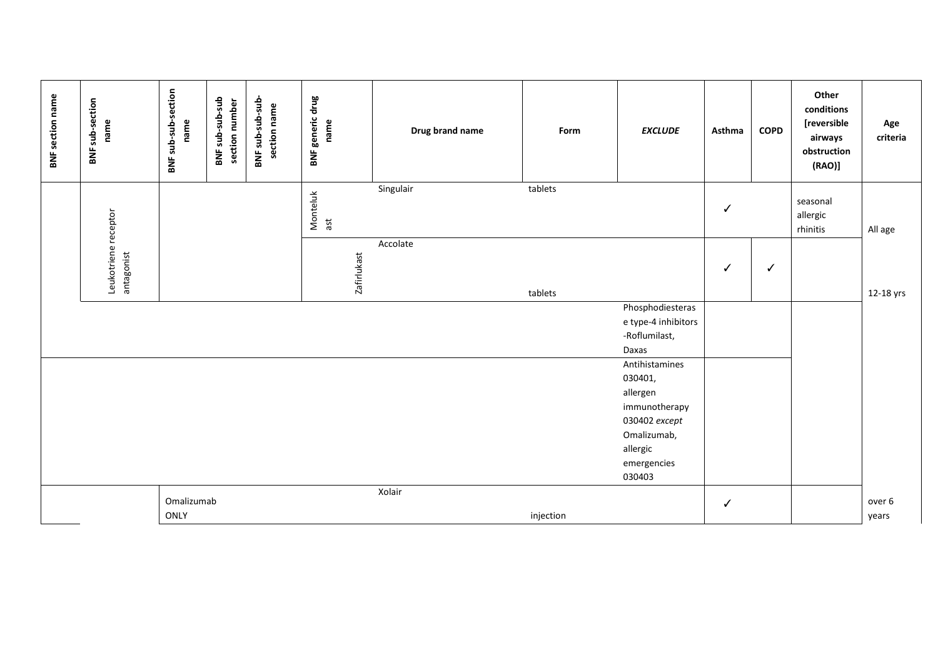| <b>BNF section name</b> | BNF sub-section<br>name            | BNF sub-sub-section<br>name | BNF sub-sub-sub<br>section number | BNF sub-sub-sub<br>section name | <b>BNF generic drug</b><br>name | Drug brand name | Form      | <b>EXCLUDE</b>                                                    | Asthma       | <b>COPD</b>  | Other<br>conditions<br>[reversible<br>airways<br>obstruction<br>(RAO) | Age<br>criteria |
|-------------------------|------------------------------------|-----------------------------|-----------------------------------|---------------------------------|---------------------------------|-----------------|-----------|-------------------------------------------------------------------|--------------|--------------|-----------------------------------------------------------------------|-----------------|
|                         |                                    |                             |                                   |                                 | Monteluk<br>ast                 | Singulair       | tablets   |                                                                   | ✓            |              | seasonal<br>allergic<br>rhinitis                                      | All age         |
|                         | Leukotriene receptor<br>antagonist |                             |                                   |                                 | <b>Zafirlukast</b>              | Accolate        | tablets   |                                                                   | ✓            | $\checkmark$ |                                                                       | 12-18 yrs       |
|                         |                                    |                             |                                   |                                 |                                 |                 |           | Phosphodiesteras<br>e type-4 inhibitors<br>-Roflumilast,<br>Daxas |              |              |                                                                       |                 |
|                         |                                    |                             |                                   |                                 |                                 |                 |           | Antihistamines<br>030401,<br>allergen<br>immunotherapy            |              |              |                                                                       |                 |
|                         |                                    |                             |                                   |                                 |                                 |                 |           | 030402 except<br>Omalizumab,<br>allergic<br>emergencies<br>030403 |              |              |                                                                       |                 |
|                         |                                    | Omalizumab                  |                                   |                                 |                                 | Xolair          |           |                                                                   | $\checkmark$ |              |                                                                       | over 6          |
|                         |                                    | ONLY                        |                                   |                                 |                                 |                 | injection |                                                                   |              |              |                                                                       | years           |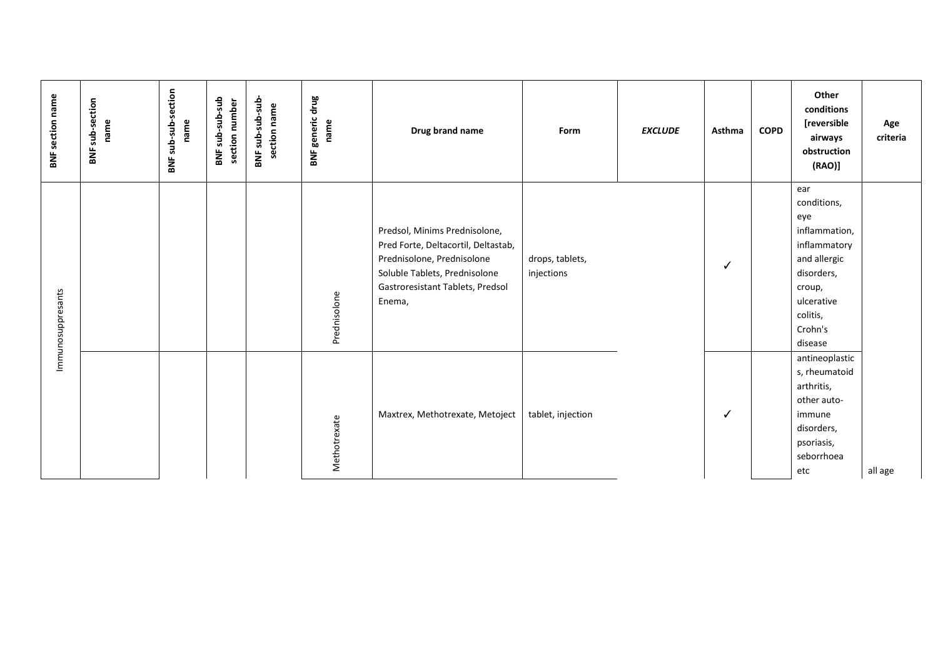|                                                                                                                         | Immunosuppresants                                                                                                                                                                 | <b>BNF</b> section name                                               |
|-------------------------------------------------------------------------------------------------------------------------|-----------------------------------------------------------------------------------------------------------------------------------------------------------------------------------|-----------------------------------------------------------------------|
|                                                                                                                         |                                                                                                                                                                                   | <b>BNF</b> sub-section<br>name                                        |
|                                                                                                                         |                                                                                                                                                                                   | BNF sub-sub-section<br>name                                           |
|                                                                                                                         |                                                                                                                                                                                   | BNF sub-sub-sub<br>section number                                     |
|                                                                                                                         |                                                                                                                                                                                   | BNF sub-sub-sub<br>section name                                       |
| Methotrexate                                                                                                            | Prednisolone                                                                                                                                                                      | drug<br>generic<br>name<br>BNF                                        |
| Maxtrex, Methotrexate, Metoject                                                                                         | Predsol, Minims Prednisolone,<br>Pred Forte, Deltacortil, Deltastab,<br>Prednisolone, Prednisolone<br>Soluble Tablets, Prednisolone<br>Gastroresistant Tablets, Predsol<br>Enema, | Drug brand name                                                       |
| tablet, injection                                                                                                       | drops, tablets,<br>injections                                                                                                                                                     | Form                                                                  |
|                                                                                                                         |                                                                                                                                                                                   | <b>EXCLUDE</b>                                                        |
| ✓                                                                                                                       | ✓                                                                                                                                                                                 | Asthma                                                                |
|                                                                                                                         |                                                                                                                                                                                   | <b>COPD</b>                                                           |
| antineoplastic<br>s, rheumatoid<br>arthritis,<br>other auto-<br>immune<br>disorders,<br>psoriasis,<br>seborrhoea<br>etc | ear<br>conditions,<br>eye<br>inflammation,<br>inflammatory<br>and allergic<br>disorders,<br>croup,<br>ulcerative<br>colitis,<br>Crohn's<br>disease                                | Other<br>conditions<br>[reversible<br>airways<br>obstruction<br>(RAO) |
| all age                                                                                                                 |                                                                                                                                                                                   | Age<br>criteria                                                       |